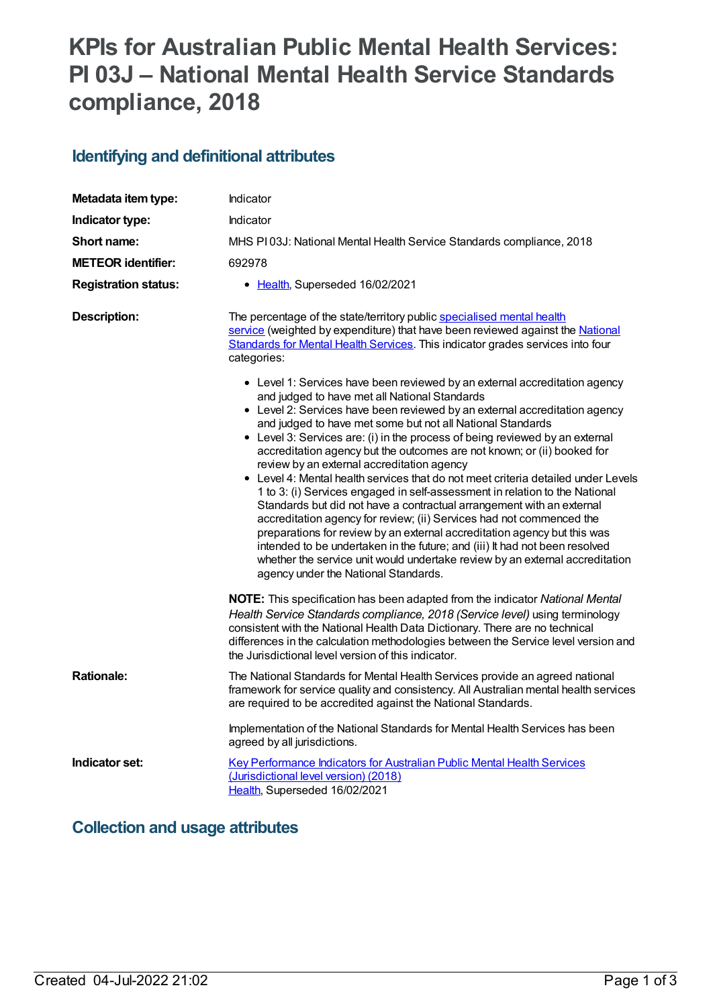# **KPIs for Australian Public Mental Health Services: PI 03J – National Mental Health Service Standards compliance, 2018**

## **Identifying and definitional attributes**

| Metadata item type:         | Indicator                                                                                                                                                                                                                                                                                                                                                                                                                                                                                                                                                                                                                                                                                                                                                                                                                                                                                                                                                                                                  |
|-----------------------------|------------------------------------------------------------------------------------------------------------------------------------------------------------------------------------------------------------------------------------------------------------------------------------------------------------------------------------------------------------------------------------------------------------------------------------------------------------------------------------------------------------------------------------------------------------------------------------------------------------------------------------------------------------------------------------------------------------------------------------------------------------------------------------------------------------------------------------------------------------------------------------------------------------------------------------------------------------------------------------------------------------|
| Indicator type:             | Indicator                                                                                                                                                                                                                                                                                                                                                                                                                                                                                                                                                                                                                                                                                                                                                                                                                                                                                                                                                                                                  |
| Short name:                 | MHS PI03J: National Mental Health Service Standards compliance, 2018                                                                                                                                                                                                                                                                                                                                                                                                                                                                                                                                                                                                                                                                                                                                                                                                                                                                                                                                       |
| <b>METEOR identifier:</b>   | 692978                                                                                                                                                                                                                                                                                                                                                                                                                                                                                                                                                                                                                                                                                                                                                                                                                                                                                                                                                                                                     |
| <b>Registration status:</b> | • Health, Superseded 16/02/2021                                                                                                                                                                                                                                                                                                                                                                                                                                                                                                                                                                                                                                                                                                                                                                                                                                                                                                                                                                            |
| <b>Description:</b>         | The percentage of the state/territory public specialised mental health<br>service (weighted by expenditure) that have been reviewed against the National<br>Standards for Mental Health Services. This indicator grades services into four<br>categories:<br>• Level 1: Services have been reviewed by an external accreditation agency                                                                                                                                                                                                                                                                                                                                                                                                                                                                                                                                                                                                                                                                    |
|                             | and judged to have met all National Standards<br>• Level 2: Services have been reviewed by an external accreditation agency<br>and judged to have met some but not all National Standards<br>• Level 3: Services are: (i) in the process of being reviewed by an external<br>accreditation agency but the outcomes are not known; or (ii) booked for<br>review by an external accreditation agency<br>• Level 4: Mental health services that do not meet criteria detailed under Levels<br>1 to 3: (i) Services engaged in self-assessment in relation to the National<br>Standards but did not have a contractual arrangement with an external<br>accreditation agency for review; (ii) Services had not commenced the<br>preparations for review by an external accreditation agency but this was<br>intended to be undertaken in the future; and (iii) It had not been resolved<br>whether the service unit would undertake review by an external accreditation<br>agency under the National Standards. |
|                             | NOTE: This specification has been adapted from the indicator National Mental<br>Health Service Standards compliance, 2018 (Service level) using terminology<br>consistent with the National Health Data Dictionary. There are no technical<br>differences in the calculation methodologies between the Service level version and<br>the Jurisdictional level version of this indicator.                                                                                                                                                                                                                                                                                                                                                                                                                                                                                                                                                                                                                    |
| <b>Rationale:</b>           | The National Standards for Mental Health Services provide an agreed national<br>framework for service quality and consistency. All Australian mental health services<br>are required to be accredited against the National Standards.                                                                                                                                                                                                                                                                                                                                                                                                                                                                                                                                                                                                                                                                                                                                                                      |
|                             | Implementation of the National Standards for Mental Health Services has been<br>agreed by all jurisdictions.                                                                                                                                                                                                                                                                                                                                                                                                                                                                                                                                                                                                                                                                                                                                                                                                                                                                                               |
| Indicator set:              | Key Performance Indicators for Australian Public Mental Health Services<br>(Jurisdictional level version) (2018)<br>Health, Superseded 16/02/2021                                                                                                                                                                                                                                                                                                                                                                                                                                                                                                                                                                                                                                                                                                                                                                                                                                                          |

#### **Collection and usage attributes**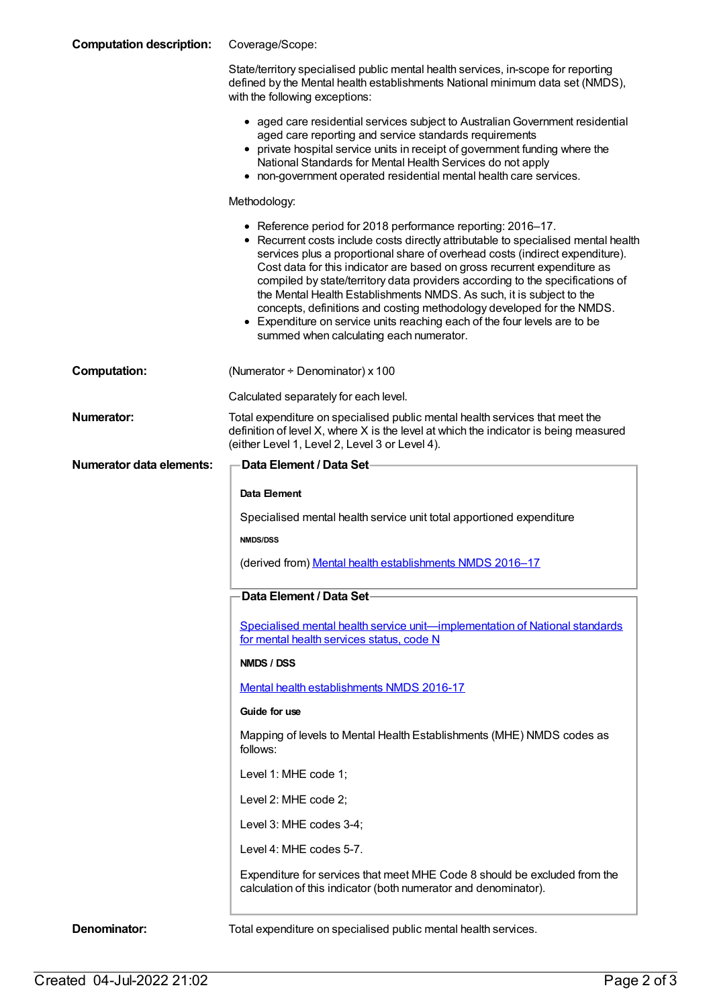| <b>Computation description:</b> | Coverage/Scope:                                                                                                                                                                                                                                                                                                                                                                                                                                                                                                                                                                                                                                                         |
|---------------------------------|-------------------------------------------------------------------------------------------------------------------------------------------------------------------------------------------------------------------------------------------------------------------------------------------------------------------------------------------------------------------------------------------------------------------------------------------------------------------------------------------------------------------------------------------------------------------------------------------------------------------------------------------------------------------------|
|                                 | State/territory specialised public mental health services, in-scope for reporting<br>defined by the Mental health establishments National minimum data set (NMDS),<br>with the following exceptions:                                                                                                                                                                                                                                                                                                                                                                                                                                                                    |
|                                 | • aged care residential services subject to Australian Government residential<br>aged care reporting and service standards requirements<br>• private hospital service units in receipt of government funding where the<br>National Standards for Mental Health Services do not apply<br>• non-government operated residential mental health care services.                                                                                                                                                                                                                                                                                                              |
|                                 | Methodology:                                                                                                                                                                                                                                                                                                                                                                                                                                                                                                                                                                                                                                                            |
|                                 | • Reference period for 2018 performance reporting: 2016-17.<br>• Recurrent costs include costs directly attributable to specialised mental health<br>services plus a proportional share of overhead costs (indirect expenditure).<br>Cost data for this indicator are based on gross recurrent expenditure as<br>compiled by state/territory data providers according to the specifications of<br>the Mental Health Establishments NMDS. As such, it is subject to the<br>concepts, definitions and costing methodology developed for the NMDS.<br>• Expenditure on service units reaching each of the four levels are to be<br>summed when calculating each numerator. |
| <b>Computation:</b>             | (Numerator + Denominator) x 100                                                                                                                                                                                                                                                                                                                                                                                                                                                                                                                                                                                                                                         |
|                                 | Calculated separately for each level.                                                                                                                                                                                                                                                                                                                                                                                                                                                                                                                                                                                                                                   |
| <b>Numerator:</b>               | Total expenditure on specialised public mental health services that meet the<br>definition of level X, where X is the level at which the indicator is being measured<br>(either Level 1, Level 2, Level 3 or Level 4).                                                                                                                                                                                                                                                                                                                                                                                                                                                  |
| Numerator data elements:        | Data Element / Data Set-                                                                                                                                                                                                                                                                                                                                                                                                                                                                                                                                                                                                                                                |
|                                 | <b>Data Element</b>                                                                                                                                                                                                                                                                                                                                                                                                                                                                                                                                                                                                                                                     |
|                                 | Specialised mental health service unit total apportioned expenditure                                                                                                                                                                                                                                                                                                                                                                                                                                                                                                                                                                                                    |
|                                 | <b>NMDS/DSS</b>                                                                                                                                                                                                                                                                                                                                                                                                                                                                                                                                                                                                                                                         |
|                                 | (derived from) Mental health establishments NMDS 2016-17                                                                                                                                                                                                                                                                                                                                                                                                                                                                                                                                                                                                                |
|                                 |                                                                                                                                                                                                                                                                                                                                                                                                                                                                                                                                                                                                                                                                         |
|                                 | Data Element / Data Set-                                                                                                                                                                                                                                                                                                                                                                                                                                                                                                                                                                                                                                                |
|                                 | Specialised mental health service unit-implementation of National standards<br>for mental health services status, code N                                                                                                                                                                                                                                                                                                                                                                                                                                                                                                                                                |
|                                 | NMDS / DSS                                                                                                                                                                                                                                                                                                                                                                                                                                                                                                                                                                                                                                                              |
|                                 | Mental health establishments NMDS 2016-17                                                                                                                                                                                                                                                                                                                                                                                                                                                                                                                                                                                                                               |
|                                 | Guide for use                                                                                                                                                                                                                                                                                                                                                                                                                                                                                                                                                                                                                                                           |
|                                 | Mapping of levels to Mental Health Establishments (MHE) NMDS codes as<br>follows:                                                                                                                                                                                                                                                                                                                                                                                                                                                                                                                                                                                       |
|                                 | Level 1: MHE code 1;                                                                                                                                                                                                                                                                                                                                                                                                                                                                                                                                                                                                                                                    |
|                                 | Level 2: MHE code 2;                                                                                                                                                                                                                                                                                                                                                                                                                                                                                                                                                                                                                                                    |
|                                 | Level 3: MHE codes 3-4;                                                                                                                                                                                                                                                                                                                                                                                                                                                                                                                                                                                                                                                 |
|                                 | Level 4: MHE codes 5-7.                                                                                                                                                                                                                                                                                                                                                                                                                                                                                                                                                                                                                                                 |
|                                 | Expenditure for services that meet MHE Code 8 should be excluded from the<br>calculation of this indicator (both numerator and denominator).                                                                                                                                                                                                                                                                                                                                                                                                                                                                                                                            |